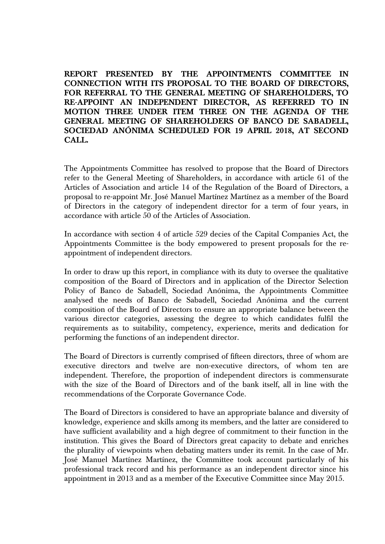**REPORT PRESENTED BY THE APPOINTMENTS COMMITTEE IN CONNECTION WITH ITS PROPOSAL TO THE BOARD OF DIRECTORS, FOR REFERRAL TO THE GENERAL MEETING OF SHAREHOLDERS, TO RE-APPOINT AN INDEPENDENT DIRECTOR, AS REFERRED TO IN MOTION THREE UNDER ITEM THREE ON THE AGENDA OF THE GENERAL MEETING OF SHAREHOLDERS OF BANCO DE SABADELL, SOCIEDAD ANÓNIMA SCHEDULED FOR 19 APRIL 2018, AT SECOND CALL.** 

The Appointments Committee has resolved to propose that the Board of Directors refer to the General Meeting of Shareholders, in accordance with article 61 of the Articles of Association and article 14 of the Regulation of the Board of Directors, a proposal to re-appoint Mr. José Manuel Martínez Martínez as a member of the Board of Directors in the category of independent director for a term of four years, in accordance with article 50 of the Articles of Association.

In accordance with section 4 of article 529 decies of the Capital Companies Act, the Appointments Committee is the body empowered to present proposals for the reappointment of independent directors.

In order to draw up this report, in compliance with its duty to oversee the qualitative composition of the Board of Directors and in application of the Director Selection Policy of Banco de Sabadell, Sociedad Anónima, the Appointments Committee analysed the needs of Banco de Sabadell, Sociedad Anónima and the current composition of the Board of Directors to ensure an appropriate balance between the various director categories, assessing the degree to which candidates fulfil the requirements as to suitability, competency, experience, merits and dedication for performing the functions of an independent director.

The Board of Directors is currently comprised of fifteen directors, three of whom are executive directors and twelve are non-executive directors, of whom ten are independent. Therefore, the proportion of independent directors is commensurate with the size of the Board of Directors and of the bank itself, all in line with the recommendations of the Corporate Governance Code.

The Board of Directors is considered to have an appropriate balance and diversity of knowledge, experience and skills among its members, and the latter are considered to have sufficient availability and a high degree of commitment to their function in the institution. This gives the Board of Directors great capacity to debate and enriches the plurality of viewpoints when debating matters under its remit. In the case of Mr. José Manuel Martínez Martínez, the Committee took account particularly of his professional track record and his performance as an independent director since his appointment in 2013 and as a member of the Executive Committee since May 2015.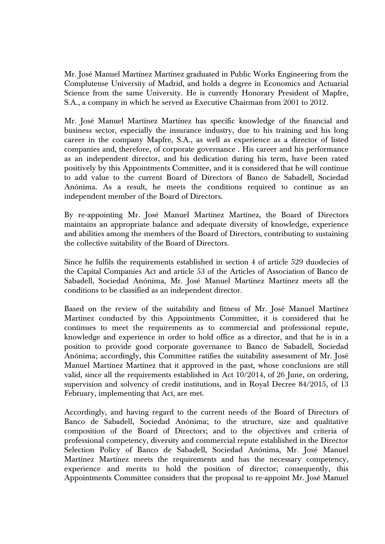Mr. José Manuel Martínez Martínez graduated in Public Works Engineering from the Complutense University of Madrid, and holds a degree in Economics and Actuarial Science from the same University. He is currently Honorary President of Mapfre, S.A., a company in which he served as Executive Chairman from 2001 to 2012.

Mr. José Manuel Martínez Martínez has specific knowledge of the financial and business sector, especially the insurance industry, due to his training and his long career in the company Mapfre, S.A., as well as experience as a director of listed companies and, therefore, of corporate governance . His career and his performance as an independent director, and his dedication during his term, have been rated positively by this Appointments Committee, and it is considered that he will continue to add value to the current Board of Directors of Banco de Sabadell, Sociedad Anónima. As a result, he meets the conditions required to continue as an independent member of the Board of Directors.

By re-appointing Mr. José Manuel Martínez Martínez, the Board of Directors maintains an appropriate balance and adequate diversity of knowledge, experience and abilities among the members of the Board of Directors, contributing to sustaining the collective suitability of the Board of Directors.

Since he fulfils the requirements established in section 4 of article 529 duodecies of the Capital Companies Act and article 53 of the Articles of Association of Banco de Sabadell, Sociedad Anónima, Mr. José Manuel Martínez Martínez meets all the conditions to be classified as an independent director.

Based on the review of the suitability and fitness of Mr. José Manuel Martínez Martínez conducted by this Appointments Committee, it is considered that he continues to meet the requirements as to commercial and professional repute, knowledge and experience in order to hold office as a director, and that he is in a position to provide good corporate governance to Banco de Sabadell, Sociedad Anónima; accordingly, this Committee ratifies the suitability assessment of Mr. José Manuel Martínez Martínez that it approved in the past, whose conclusions are still valid, since all the requirements established in Act 10/2014, of 26 June, on ordering, supervision and solvency of credit institutions, and in Royal Decree 84/2015, of 13 February, implementing that Act, are met.

Accordingly, and having regard to the current needs of the Board of Directors of Banco de Sabadell, Sociedad Anónima; to the structure, size and qualitative composition of the Board of Directors; and to the objectives and criteria of professional competency, diversity and commercial repute established in the Director Selection Policy of Banco de Sabadell, Sociedad Anónima, Mr. José Manuel Martínez Martínez meets the requirements and has the necessary competency, experience and merits to hold the position of director; consequently, this Appointments Committee considers that the proposal to re-appoint Mr. José Manuel